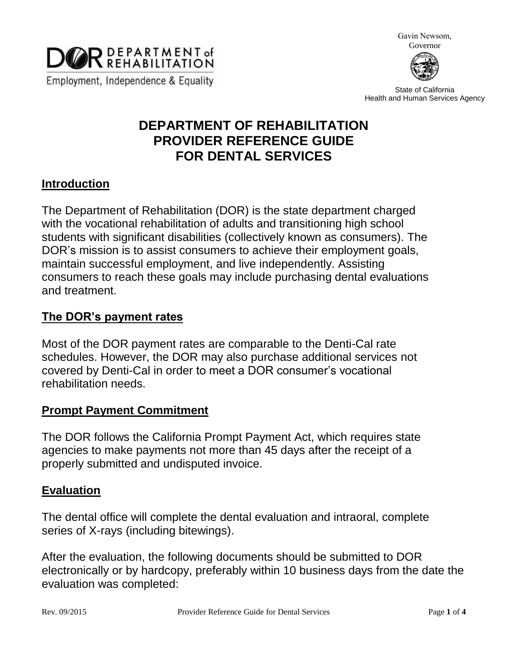

Gavin Newsom, Governor



State of California Health and Human Services Agency

# **DEPARTMENT OF REHABILITATION PROVIDER REFERENCE GUIDE FOR DENTAL SERVICES**

## **Introduction**

The Department of Rehabilitation (DOR) is the state department charged with the vocational rehabilitation of adults and transitioning high school students with significant disabilities (collectively known as consumers). The DOR's mission is to assist consumers to achieve their employment goals, maintain successful employment, and live independently. Assisting consumers to reach these goals may include purchasing dental evaluations and treatment.

### **The DOR's payment rates**

Most of the DOR payment rates are comparable to the Denti-Cal rate schedules. However, the DOR may also purchase additional services not covered by Denti-Cal in order to meet a DOR consumer's vocational rehabilitation needs.

## **Prompt Payment Commitment**

The DOR follows the California Prompt Payment Act, which requires state agencies to make payments not more than 45 days after the receipt of a properly submitted and undisputed invoice.

#### **Evaluation**

The dental office will complete the dental evaluation and intraoral, complete series of X-rays (including bitewings).

After the evaluation, the following documents should be submitted to DOR electronically or by hardcopy, preferably within 10 business days from the date the evaluation was completed: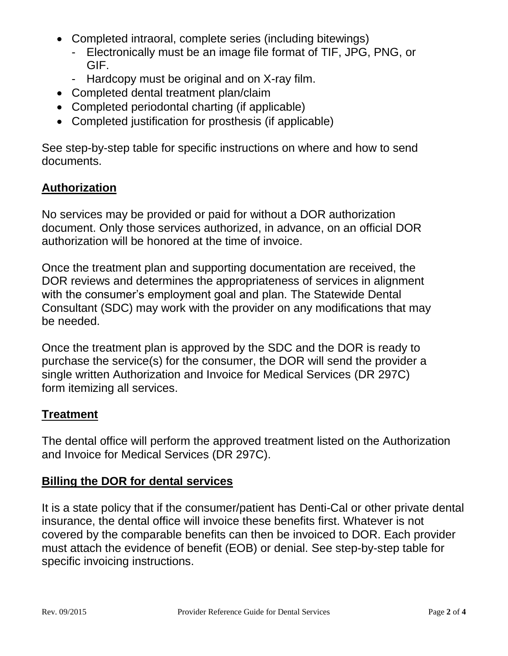- Completed intraoral, complete series (including bitewings)
	- Electronically must be an image file format of TIF, JPG, PNG, or GIF.
	- Hardcopy must be original and on X-ray film.
- Completed dental treatment plan/claim
- Completed periodontal charting (if applicable)
- Completed justification for prosthesis (if applicable)

See step-by-step table for specific instructions on where and how to send documents.

# **Authorization**

No services may be provided or paid for without a DOR authorization document. Only those services authorized, in advance, on an official DOR authorization will be honored at the time of invoice.

Once the treatment plan and supporting documentation are received, the DOR reviews and determines the appropriateness of services in alignment with the consumer's employment goal and plan. The Statewide Dental Consultant (SDC) may work with the provider on any modifications that may be needed.

Once the treatment plan is approved by the SDC and the DOR is ready to purchase the service(s) for the consumer, the DOR will send the provider a single written Authorization and Invoice for Medical Services (DR 297C) form itemizing all services.

# **Treatment**

The dental office will perform the approved treatment listed on the Authorization and Invoice for Medical Services (DR 297C).

# **Billing the DOR for dental services**

It is a state policy that if the consumer/patient has Denti-Cal or other private dental insurance, the dental office will invoice these benefits first. Whatever is not covered by the comparable benefits can then be invoiced to DOR. Each provider must attach the evidence of benefit (EOB) or denial. See step-by-step table for specific invoicing instructions.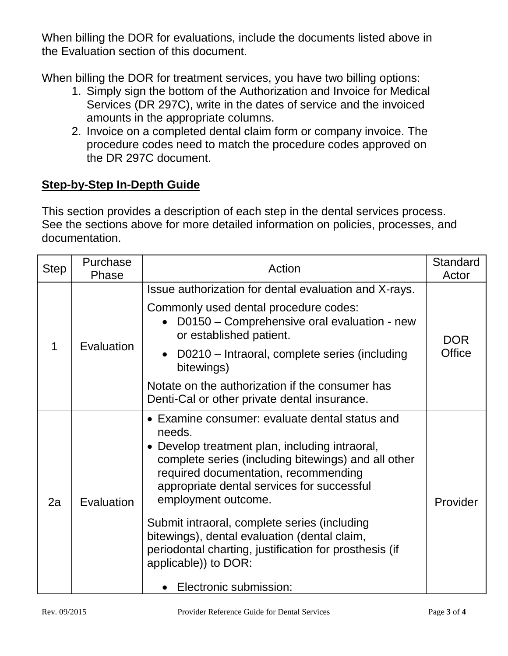When billing the DOR for evaluations, include the documents listed above in the Evaluation section of this document.

When billing the DOR for treatment services, you have two billing options:

- 1. Simply sign the bottom of the Authorization and Invoice for Medical Services (DR 297C), write in the dates of service and the invoiced amounts in the appropriate columns.
- 2. Invoice on a completed dental claim form or company invoice. The procedure codes need to match the procedure codes approved on the DR 297C document.

# **Step-by-Step In-Depth Guide**

This section provides a description of each step in the dental services process. See the sections above for more detailed information on policies, processes, and documentation.

| <b>Step</b> | Purchase<br>Phase | Action                                                                                                                                                                                                                                                                                                                                                                                                                                                                                     | Standard<br>Actor           |
|-------------|-------------------|--------------------------------------------------------------------------------------------------------------------------------------------------------------------------------------------------------------------------------------------------------------------------------------------------------------------------------------------------------------------------------------------------------------------------------------------------------------------------------------------|-----------------------------|
| 1           | Evaluation        | Issue authorization for dental evaluation and X-rays.                                                                                                                                                                                                                                                                                                                                                                                                                                      | <b>DOR</b><br><b>Office</b> |
|             |                   | Commonly used dental procedure codes:<br>D0150 – Comprehensive oral evaluation - new<br>or established patient.                                                                                                                                                                                                                                                                                                                                                                            |                             |
|             |                   | D0210 – Intraoral, complete series (including<br>bitewings)                                                                                                                                                                                                                                                                                                                                                                                                                                |                             |
|             |                   | Notate on the authorization if the consumer has<br>Denti-Cal or other private dental insurance.                                                                                                                                                                                                                                                                                                                                                                                            |                             |
| 2a          | Evaluation        | • Examine consumer: evaluate dental status and<br>needs.<br>• Develop treatment plan, including intraoral,<br>complete series (including bitewings) and all other<br>required documentation, recommending<br>appropriate dental services for successful<br>employment outcome.<br>Submit intraoral, complete series (including<br>bitewings), dental evaluation (dental claim,<br>periodontal charting, justification for prosthesis (if<br>applicable)) to DOR:<br>Electronic submission: | Provider                    |